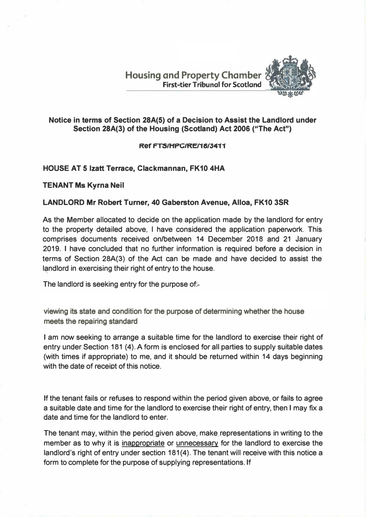**Housing and Property Chamber First-tier Tribunal for Scotland** 



## **Notice in terms of Section 28A(5) of a Decision to Assist the Landlord under Section 28A(3) of the Housing (Scotland) Act 2006 ("The Act")**

## **Ref FTS/HPC/RF/18/3411**

## **HOUSE AT 5 Izatt Terrace, Clackmannan, FK10 4HA**

**TENANT Ms Kyrna Neil** 

## **LANDLORD Mr Robert Turner, 40 Gaberston Avenue, Alloa, FK10 3SR**

**As the Member allocated to decide on the application made by the landlord for entry to the property detailed above, I have considered the application paperwork. This comprises documents received on/between 14 December 2018 and 21 January 2019. I have concluded that no further information is required before a decision in terms of Section 28A(3) of the Act can be made and have decided to assist the l�ndlord in exercising their right of entry to the house.** 

**The landlord is seeking entry for the purpose of:-**

**viewing its state and condition for the purpose of determining whether the house meets the repairing standard**

**I am now seeking to arrange a suitable time for the landlord to exercise their right of entry under Section 181 (4). A form is enclosed for all parties to supply suitable dates (with times if appropriate) to me, and it should be returned within 14 days beginning with the date of receipt of this notice.** 

**If the tenant fails or refuses to respond within the period given above, or fails to agree a suitable date and time for the landlord to exercise their right of entry, then I may fix a date and time for the landlord to enter.** 

**The tenant may, within the period given above, make representations in writing to the member as to why it is inappropriate or unnecessary for the landlord to exercise the landlord's right of entry under section 181(4). The tenant will receive with this notice a form to complete for the purpose of supplying representations. If**